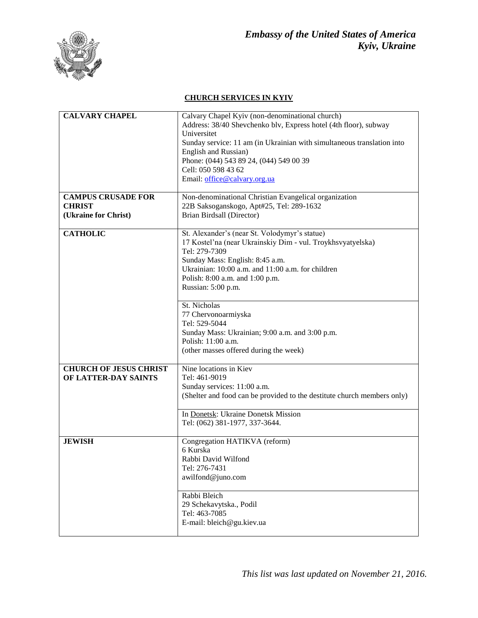

## **CHURCH SERVICES IN KYIV**

| <b>CALVARY CHAPEL</b>         | Calvary Chapel Kyiv (non-denominational church)                         |
|-------------------------------|-------------------------------------------------------------------------|
|                               | Address: 38/40 Shevchenko blv, Express hotel (4th floor), subway        |
|                               | Universitet                                                             |
|                               | Sunday service: 11 am (in Ukrainian with simultaneous translation into  |
|                               | English and Russian)                                                    |
|                               | Phone: (044) 543 89 24, (044) 549 00 39                                 |
|                               | Cell: 050 598 43 62                                                     |
|                               |                                                                         |
|                               | Email: office@calvary.org.ua                                            |
| <b>CAMPUS CRUSADE FOR</b>     | Non-denominational Christian Evangelical organization                   |
| <b>CHRIST</b>                 | 22B Saksoganskogo, Apt#25, Tel: 289-1632                                |
|                               |                                                                         |
| (Ukraine for Christ)          | Brian Birdsall (Director)                                               |
| <b>CATHOLIC</b>               | St. Alexander's (near St. Volodymyr's statue)                           |
|                               | 17 Kostel'na (near Ukrainskiy Dim - vul. Troykhsvyatyelska)             |
|                               | Tel: 279-7309                                                           |
|                               | Sunday Mass: English: 8:45 a.m.                                         |
|                               | Ukrainian: 10:00 a.m. and 11:00 a.m. for children                       |
|                               | Polish: 8:00 a.m. and 1:00 p.m.                                         |
|                               |                                                                         |
|                               | Russian: 5:00 p.m.                                                      |
|                               | St. Nicholas                                                            |
|                               | 77 Chervonoarmiyska                                                     |
|                               | Tel: 529-5044                                                           |
|                               | Sunday Mass: Ukrainian; 9:00 a.m. and 3:00 p.m.                         |
|                               | Polish: 11:00 a.m.                                                      |
|                               |                                                                         |
|                               | (other masses offered during the week)                                  |
| <b>CHURCH OF JESUS CHRIST</b> | Nine locations in Kiev                                                  |
| OF LATTER-DAY SAINTS          | Tel: 461-9019                                                           |
|                               | Sunday services: 11:00 a.m.                                             |
|                               | (Shelter and food can be provided to the destitute church members only) |
|                               |                                                                         |
|                               | In Donetsk: Ukraine Donetsk Mission                                     |
|                               | Tel: (062) 381-1977, 337-3644.                                          |
|                               |                                                                         |
| <b>JEWISH</b>                 | Congregation HATIKVA (reform)                                           |
|                               | 6 Kurska                                                                |
|                               | Rabbi David Wilfond                                                     |
|                               | Tel: 276-7431                                                           |
|                               | awilfond@juno.com                                                       |
|                               |                                                                         |
|                               | Rabbi Bleich                                                            |
|                               | 29 Schekavytska., Podil                                                 |
|                               | Tel: 463-7085                                                           |
|                               | E-mail: bleich@gu.kiev.ua                                               |
|                               |                                                                         |